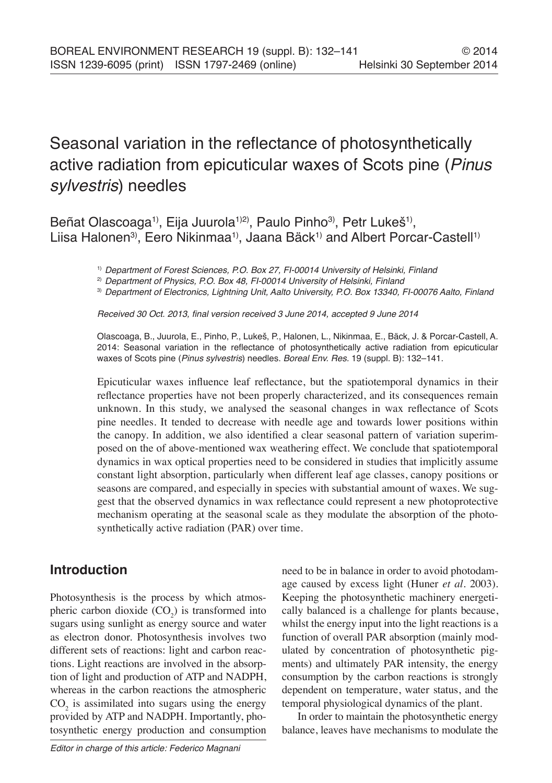# Seasonal variation in the reflectance of photosynthetically active radiation from epicuticular waxes of Scots pine (*Pinus sylvestris*) needles

Beñat Olascoaga<sup>1</sup>, Eija Juurola<sup>1)2)</sup>, Paulo Pinho<sup>3)</sup>, Petr Lukeš<sup>1</sup><sup>)</sup>, Liisa Halonen<sup>3)</sup>, Eero Nikinmaa<sup>1)</sup>, Jaana Bäck<sup>1)</sup> and Albert Porcar-Castell<sup>1)</sup>

1) *Department of Forest Sciences, P.O. Box 27, FI-00014 University of Helsinki, Finland*

2) *Department of Physics, P.O. Box 48, FI-00014 University of Helsinki, Finland*

3) *Department of Electronics, Lightning Unit, Aalto University, P.O. Box 13340, FI-00076 Aalto, Finland*

Received 30 Oct. 2013, final version received 3 June 2014, accepted 9 June 2014

Olascoaga, B., Juurola, E., Pinho, P., Lukeš, P., Halonen, L., Nikinmaa, E., Bäck, J. & Porcar-Castell, A. 2014: Seasonal variation in the reflectance of photosynthetically active radiation from epicuticular waxes of Scots pine (*Pinus sylvestris*) needles. *Boreal Env. Res.* 19 (suppl. B): 132–141.

Epicuticular waxes influence leaf reflectance, but the spatiotemporal dynamics in their reflectance properties have not been properly characterized, and its consequences remain unknown. In this study, we analysed the seasonal changes in wax reflectance of Scots pine needles. It tended to decrease with needle age and towards lower positions within the canopy. In addition, we also identified a clear seasonal pattern of variation superimposed on the of above-mentioned wax weathering effect. We conclude that spatiotemporal dynamics in wax optical properties need to be considered in studies that implicitly assume constant light absorption, particularly when different leaf age classes, canopy positions or seasons are compared, and especially in species with substantial amount of waxes. We suggest that the observed dynamics in wax reflectance could represent a new photoprotective mechanism operating at the seasonal scale as they modulate the absorption of the photosynthetically active radiation (PAR) over time.

### **Introduction**

Photosynthesis is the process by which atmospheric carbon dioxide  $(CO_2)$  is transformed into sugars using sunlight as energy source and water as electron donor. Photosynthesis involves two different sets of reactions: light and carbon reactions. Light reactions are involved in the absorption of light and production of ATP and NADPH, whereas in the carbon reactions the atmospheric  $CO<sub>2</sub>$  is assimilated into sugars using the energy provided by ATP and NADPH. Importantly, photosynthetic energy production and consumption

need to be in balance in order to avoid photodamage caused by excess light (Huner *et al.* 2003). Keeping the photosynthetic machinery energetically balanced is a challenge for plants because, whilst the energy input into the light reactions is a function of overall PAR absorption (mainly modulated by concentration of photosynthetic pigments) and ultimately PAR intensity, the energy consumption by the carbon reactions is strongly dependent on temperature, water status, and the temporal physiological dynamics of the plant.

In order to maintain the photosynthetic energy balance, leaves have mechanisms to modulate the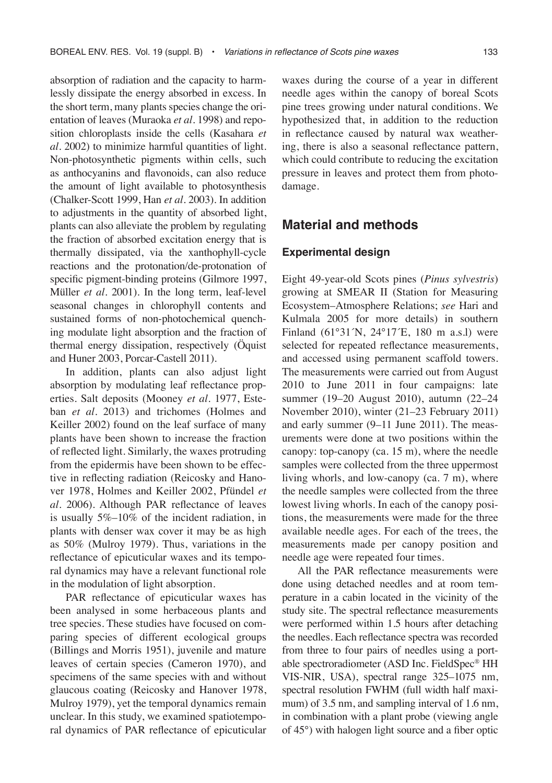absorption of radiation and the capacity to harmlessly dissipate the energy absorbed in excess. In the short term, many plants species change the orientation of leaves (Muraoka *et al.* 1998) and reposition chloroplasts inside the cells (Kasahara *et al.* 2002) to minimize harmful quantities of light. Non-photosynthetic pigments within cells, such as anthocyanins and flavonoids, can also reduce the amount of light available to photosynthesis (Chalker-Scott 1999, Han *et al.* 2003). In addition to adjustments in the quantity of absorbed light, plants can also alleviate the problem by regulating the fraction of absorbed excitation energy that is thermally dissipated, via the xanthophyll-cycle reactions and the protonation/de-protonation of specific pigment-binding proteins (Gilmore 1997, Müller *et al.* 2001). In the long term, leaf-level seasonal changes in chlorophyll contents and sustained forms of non-photochemical quenching modulate light absorption and the fraction of thermal energy dissipation, respectively (Öquist and Huner 2003, Porcar-Castell 2011).

In addition, plants can also adjust light absorption by modulating leaf reflectance properties. Salt deposits (Mooney *et al.* 1977, Esteban *et al.* 2013) and trichomes (Holmes and Keiller 2002) found on the leaf surface of many plants have been shown to increase the fraction of reflected light. Similarly, the waxes protruding from the epidermis have been shown to be effective in reflecting radiation (Reicosky and Hanover 1978, Holmes and Keiller 2002, Pfündel *et al.* 2006). Although PAR reflectance of leaves is usually 5%–10% of the incident radiation, in plants with denser wax cover it may be as high as 50% (Mulroy 1979). Thus, variations in the reflectance of epicuticular waxes and its temporal dynamics may have a relevant functional role in the modulation of light absorption.

PAR reflectance of epicuticular waxes has been analysed in some herbaceous plants and tree species. These studies have focused on comparing species of different ecological groups (Billings and Morris 1951), juvenile and mature leaves of certain species (Cameron 1970), and specimens of the same species with and without glaucous coating (Reicosky and Hanover 1978, Mulroy 1979), yet the temporal dynamics remain unclear. In this study, we examined spatiotemporal dynamics of PAR reflectance of epicuticular waxes during the course of a year in different needle ages within the canopy of boreal Scots pine trees growing under natural conditions. We hypothesized that, in addition to the reduction in reflectance caused by natural wax weathering, there is also a seasonal reflectance pattern, which could contribute to reducing the excitation pressure in leaves and protect them from photodamage.

### **Material and methods**

#### **Experimental design**

Eight 49-year-old Scots pines (*Pinus sylvestris*) growing at SMEAR II (Station for Measuring Ecosystem–Atmosphere Relations; *see* Hari and Kulmala 2005 for more details) in southern Finland (61°31´N, 24°17´E, 180 m a.s.l) were selected for repeated reflectance measurements, and accessed using permanent scaffold towers. The measurements were carried out from August 2010 to June 2011 in four campaigns: late summer (19–20 August 2010), autumn (22–24 November 2010), winter (21–23 February 2011) and early summer (9–11 June 2011). The measurements were done at two positions within the canopy: top-canopy (ca. 15 m), where the needle samples were collected from the three uppermost living whorls, and low-canopy (ca. 7 m), where the needle samples were collected from the three lowest living whorls. In each of the canopy positions, the measurements were made for the three available needle ages. For each of the trees, the measurements made per canopy position and needle age were repeated four times.

All the PAR reflectance measurements were done using detached needles and at room temperature in a cabin located in the vicinity of the study site. The spectral reflectance measurements were performed within 1.5 hours after detaching the needles. Each reflectance spectra was recorded from three to four pairs of needles using a portable spectroradiometer (ASD Inc. FieldSpec® HH VIS-NIR, USA), spectral range 325–1075 nm, spectral resolution FWHM (full width half maximum) of 3.5 nm, and sampling interval of 1.6 nm, in combination with a plant probe (viewing angle of 45°) with halogen light source and a fiber optic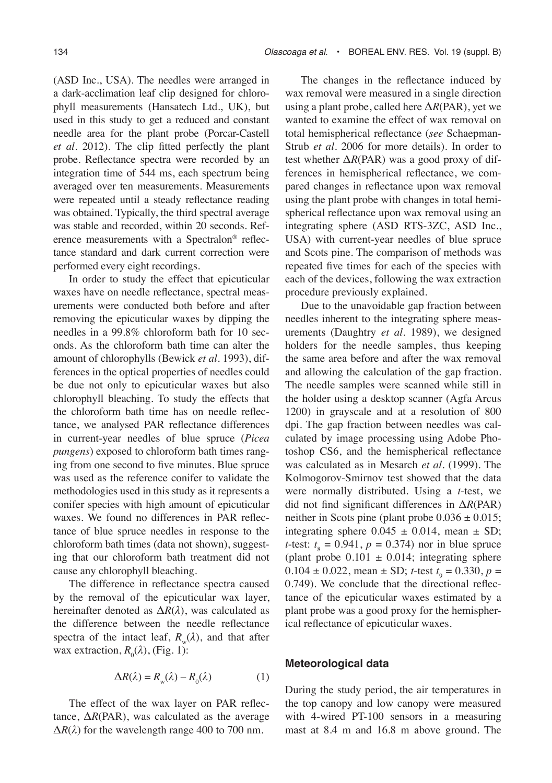(ASD Inc., USA). The needles were arranged in a dark-acclimation leaf clip designed for chlorophyll measurements (Hansatech Ltd., UK), but used in this study to get a reduced and constant needle area for the plant probe (Porcar-Castell *et al.* 2012). The clip fitted perfectly the plant probe. Reflectance spectra were recorded by an integration time of 544 ms, each spectrum being averaged over ten measurements. Measurements were repeated until a steady reflectance reading was obtained. Typically, the third spectral average was stable and recorded, within 20 seconds. Reference measurements with a Spectralon® reflectance standard and dark current correction were performed every eight recordings.

In order to study the effect that epicuticular waxes have on needle reflectance, spectral measurements were conducted both before and after removing the epicuticular waxes by dipping the needles in a 99.8% chloroform bath for 10 seconds. As the chloroform bath time can alter the amount of chlorophylls (Bewick *et al.* 1993), differences in the optical properties of needles could be due not only to epicuticular waxes but also chlorophyll bleaching. To study the effects that the chloroform bath time has on needle reflectance, we analysed PAR reflectance differences in current-year needles of blue spruce (*Picea pungens*) exposed to chloroform bath times ranging from one second to five minutes. Blue spruce was used as the reference conifer to validate the methodologies used in this study as it represents a conifer species with high amount of epicuticular waxes. We found no differences in PAR reflectance of blue spruce needles in response to the chloroform bath times (data not shown), suggesting that our chloroform bath treatment did not cause any chlorophyll bleaching.

The difference in reflectance spectra caused by the removal of the epicuticular wax layer, hereinafter denoted as Δ*R*(*λ*), was calculated as the difference between the needle reflectance spectra of the intact leaf,  $R_{\mu}(\lambda)$ , and that after wax extraction,  $R_0(\lambda)$ , (Fig. 1):

$$
\Delta R(\lambda) = R_{\rm w}(\lambda) - R_0(\lambda) \tag{1}
$$

The effect of the wax layer on PAR reflectance,  $\Delta R$ (PAR), was calculated as the average  $\Delta R(\lambda)$  for the wavelength range 400 to 700 nm.

The changes in the reflectance induced by wax removal were measured in a single direction using a plant probe, called here Δ*R*(PAR), yet we wanted to examine the effect of wax removal on total hemispherical reflectance (*see* Schaepman-Strub *et al.* 2006 for more details). In order to test whether  $\Delta R$ (PAR) was a good proxy of differences in hemispherical reflectance, we compared changes in reflectance upon wax removal using the plant probe with changes in total hemispherical reflectance upon wax removal using an integrating sphere (ASD RTS-3ZC, ASD Inc., USA) with current-year needles of blue spruce and Scots pine. The comparison of methods was repeated five times for each of the species with each of the devices, following the wax extraction procedure previously explained.

Due to the unavoidable gap fraction between needles inherent to the integrating sphere measurements (Daughtry *et al.* 1989), we designed holders for the needle samples, thus keeping the same area before and after the wax removal and allowing the calculation of the gap fraction. The needle samples were scanned while still in the holder using a desktop scanner (Agfa Arcus 1200) in grayscale and at a resolution of 800 dpi. The gap fraction between needles was calculated by image processing using Adobe Photoshop CS6, and the hemispherical reflectance was calculated as in Mesarch *et al.* (1999). The Kolmogorov-Smirnov test showed that the data were normally distributed. Using a *t*-test, we did not find significant differences in Δ*R*(PAR) neither in Scots pine (plant probe  $0.036 \pm 0.015$ ; integrating sphere  $0.045 \pm 0.014$ , mean  $\pm$  SD; *t*-test:  $t_8 = 0.941$ ,  $p = 0.374$ ) nor in blue spruce (plant probe  $0.101 \pm 0.014$ ; integrating sphere  $0.104 \pm 0.022$ , mean  $\pm$  SD; *t*-test  $t<sub>9</sub> = 0.330$ ,  $p =$ 0.749). We conclude that the directional reflectance of the epicuticular waxes estimated by a plant probe was a good proxy for the hemispherical reflectance of epicuticular waxes.

#### **Meteorological data**

During the study period, the air temperatures in the top canopy and low canopy were measured with 4-wired PT-100 sensors in a measuring mast at 8.4 m and 16.8 m above ground. The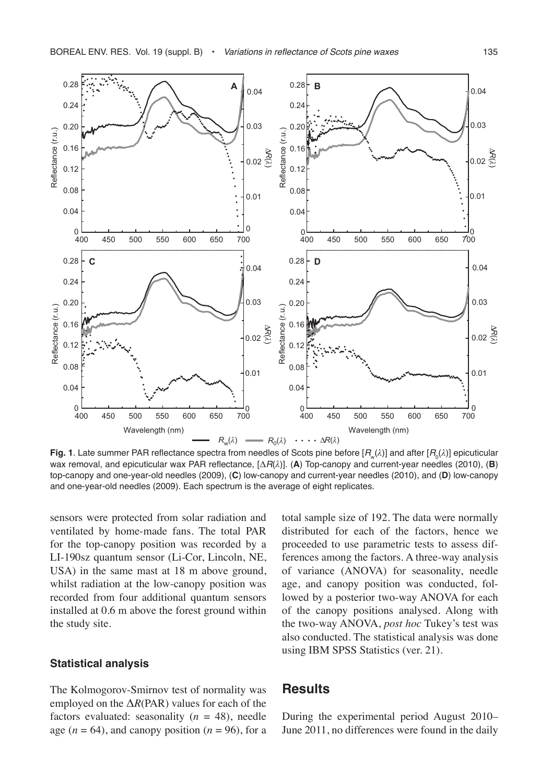

**Fig. 1**. Late summer PAR reflectance spectra from needles of Scots pine before [ $R_{\omega}(\lambda)$ ] and after [ $R_{0}(\lambda)$ ] epicuticular wax removal, and epicuticular wax PAR reflectance, [Δ*R*(*λ*)]. (**A**) Top-canopy and current-year needles (2010), (**B**) top-canopy and one-year-old needles (2009), (**C**) low-canopy and current-year needles (2010), and (**D**) low-canopy and one-year-old needles (2009). Each spectrum is the average of eight replicates.

sensors were protected from solar radiation and ventilated by home-made fans. The total PAR for the top-canopy position was recorded by a LI-190sz quantum sensor (Li-Cor, Lincoln, NE, USA) in the same mast at 18 m above ground, whilst radiation at the low-canopy position was recorded from four additional quantum sensors installed at 0.6 m above the forest ground within the study site.

#### **Statistical analysis**

The Kolmogorov-Smirnov test of normality was employed on the Δ*R*(PAR) values for each of the factors evaluated: seasonality  $(n = 48)$ , needle age  $(n = 64)$ , and canopy position  $(n = 96)$ , for a total sample size of 192. The data were normally distributed for each of the factors, hence we proceeded to use parametric tests to assess differences among the factors. A three-way analysis of variance (ANOVA) for seasonality, needle age, and canopy position was conducted, followed by a posterior two-way ANOVA for each of the canopy positions analysed. Along with the two-way ANOVA, *post hoc* Tukey's test was also conducted. The statistical analysis was done using IBM SPSS Statistics (ver. 21).

#### **Results**

During the experimental period August 2010– June 2011, no differences were found in the daily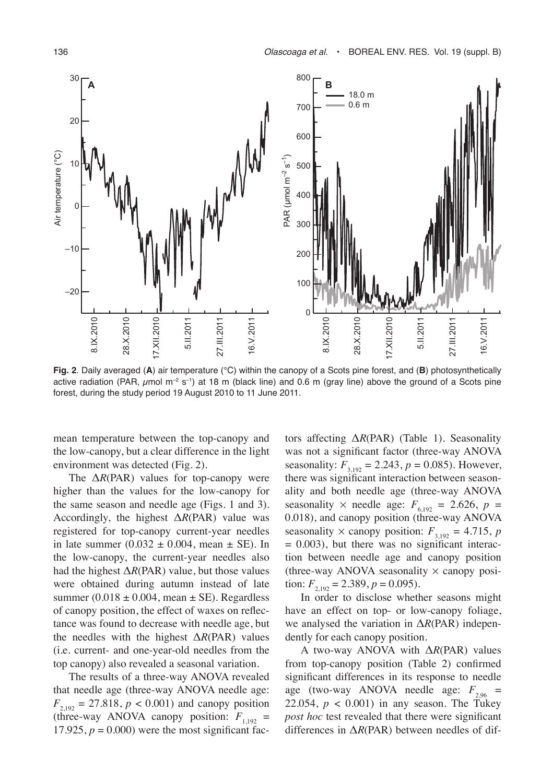

**Fig. 2**. Daily averaged (**A**) air temperature (°C) within the canopy of a Scots pine forest, and (**B**) photosynthetically active radiation (PAR,  $\mu$ mol m<sup>-2</sup> s<sup>-1</sup>) at 18 m (black line) and 0.6 m (gray line) above the ground of a Scots pine forest, during the study period 19 August 2010 to 11 June 2011.

mean temperature between the top-canopy and the low-canopy, but a clear difference in the light environment was detected (Fig. 2).

The Δ*R*(PAR) values for top-canopy were higher than the values for the low-canopy for the same season and needle age (Figs. 1 and 3). Accordingly, the highest Δ*R*(PAR) value was registered for top-canopy current-year needles in late summer  $(0.032 \pm 0.004)$ , mean  $\pm$  SE). In the low-canopy, the current-year needles also had the highest  $\Delta R$ (PAR) value, but those values were obtained during autumn instead of late summer (0.018  $\pm$  0.004, mean  $\pm$  SE). Regardless of canopy position, the effect of waxes on reflectance was found to decrease with needle age, but the needles with the highest Δ*R*(PAR) values (i.e. current- and one-year-old needles from the top canopy) also revealed a seasonal variation.

The results of a three-way ANOVA revealed that needle age (three-way ANOVA needle age:  $F_{2,192} = 27.818$ ,  $p < 0.001$ ) and canopy position (three-way ANOVA canopy position:  $F_{1,192}$  = 17.925,  $p = 0.000$ ) were the most significant factors affecting Δ*R*(PAR) (Table 1). Seasonality was not a significant factor (three-way ANOVA seasonality:  $F_{3,192} = 2.243$ ,  $p = 0.085$ ). However, there was significant interaction between seasonality and both needle age (three-way ANOVA seasonality  $\times$  needle age:  $F_{6,192} = 2.626$ ,  $p =$ 0.018), and canopy position (three-way ANOVA seasonality  $\times$  canopy position:  $F_{3,192} = 4.715$ , *p*  $= 0.003$ ), but there was no significant interaction between needle age and canopy position (three-way ANOVA seasonality  $\times$  canopy position:  $F_{2,192} = 2.389, p = 0.095$ .

In order to disclose whether seasons might have an effect on top- or low-canopy foliage, we analysed the variation in Δ*R*(PAR) independently for each canopy position.

A two-way ANOVA with Δ*R*(PAR) values from top-canopy position (Table 2) confirmed significant differences in its response to needle age (two-way ANOVA needle age:  $F_{2.96}$  = 22.054,  $p < 0.001$ ) in any season. The Tukey *post hoc* test revealed that there were significant differences in Δ*R*(PAR) between needles of dif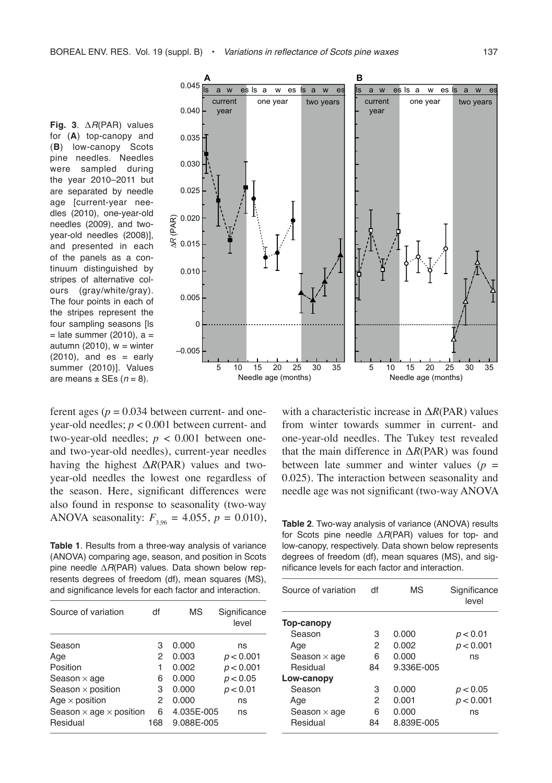**Fig. 3**. Δ*R*(PAR) values for (**A**) top-canopy and (**B**) low-canopy Scots pine needles. Needles were sampled during the year 2010–2011 but are separated by needle age [current-year needles (2010), one-year-old needles (2009), and twoyear-old needles (2008)], and presented in each of the panels as a continuum distinguished by stripes of alternative colours (gray/white/gray). The four points in each of the stripes represent the four sampling seasons [ls  $=$  late summer (2010), a  $=$ autumn (2010),  $w =$  winter  $(2010)$ , and  $es = early$ summer (2010)]. Values are means  $\pm$  SEs ( $n = 8$ ).



ferent ages ( $p = 0.034$  between current- and oneyear-old needles; *p* < 0.001 between current- and two-year-old needles;  $p < 0.001$  between oneand two-year-old needles), current-year needles having the highest Δ*R*(PAR) values and twoyear-old needles the lowest one regardless of the season. Here, significant differences were also found in response to seasonality (two-way ANOVA seasonality:  $F_{3,96} = 4.055$ ,  $p = 0.010$ ), Table 2. Two-way analysis of variance (ANOVA) results

**Table 1**. Results from a three-way analysis of variance (ANOVA) comparing age, season, and position in Scots pine needle Δ*R*(PAR) values. Data shown below represents degrees of freedom (df), mean squares (MS), and significance levels for each factor and interaction.

| Source of variation                   | df  | <b>MS</b>  | Significance<br>level |
|---------------------------------------|-----|------------|-----------------------|
| Season                                | З   | 0.000      | ns                    |
| Age                                   | 2   | 0.003      | p < 0.001             |
| Position                              |     | 0.002      | p < 0.001             |
| Season $\times$ age                   | 6   | 0.000      | p < 0.05              |
| Season $\times$ position              | 3   | 0.000      | p < 0.01              |
| Age $\times$ position                 | 2   | 0.000      | ns                    |
| Season $\times$ age $\times$ position | 6   | 4.035E-005 | ns                    |
| Residual                              | 168 | 9.088E-005 |                       |
|                                       |     |            |                       |

with a characteristic increase in Δ*R*(PAR) values from winter towards summer in current- and one-year-old needles. The Tukey test revealed that the main difference in Δ*R*(PAR) was found between late summer and winter values ( $p =$ 0.025). The interaction between seasonality and needle age was not significant (two-way ANOVA

for Scots pine needle Δ*R*(PAR) values for top- and low-canopy, respectively. Data shown below represents degrees of freedom (df), mean squares (MS), and significance levels for each factor and interaction.

| Source of variation | df | <b>MS</b>  | Significance<br>level |
|---------------------|----|------------|-----------------------|
| Top-canopy          |    |            |                       |
| Season              | 3  | 0.000      | p < 0.01              |
| Age                 | 2  | 0.002      | p < 0.001             |
| Season $\times$ age | 6  | 0.000      | ns                    |
| Residual            | 84 | 9.336E-005 |                       |
| Low-canopy          |    |            |                       |
| Season              | з  | 0.000      | p < 0.05              |
| Age                 | 2  | 0.001      | p < 0.001             |
| Season $\times$ age | 6  | 0.000      | ns                    |
| Residual            | 84 | 8.839E-005 |                       |
|                     |    |            |                       |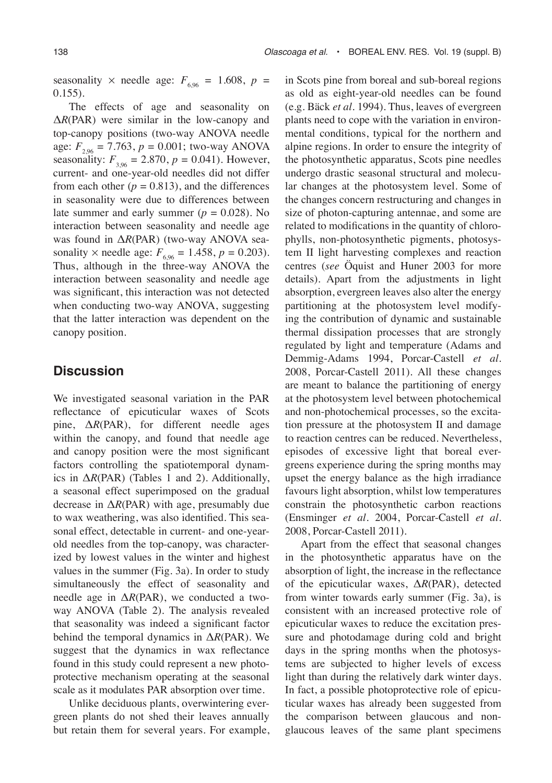seasonality  $\times$  needle age:  $F_{6.96} = 1.608$ ,  $p =$ 0.155).

The effects of age and seasonality on Δ*R*(PAR) were similar in the low-canopy and top-canopy positions (two-way ANOVA needle age:  $F_{2.96} = 7.763$ ,  $p = 0.001$ ; two-way ANOVA seasonality:  $F_{3.96} = 2.870$ ,  $p = 0.041$ ). However, current- and one-year-old needles did not differ from each other  $(p = 0.813)$ , and the differences in seasonality were due to differences between late summer and early summer  $(p = 0.028)$ . No interaction between seasonality and needle age was found in Δ*R*(PAR) (two-way ANOVA seasonality  $\times$  needle age:  $F_{6,96} = 1.458$ ,  $p = 0.203$ ). Thus, although in the three-way ANOVA the interaction between seasonality and needle age was significant, this interaction was not detected when conducting two-way ANOVA, suggesting that the latter interaction was dependent on the canopy position.

### **Discussion**

We investigated seasonal variation in the PAR reflectance of epicuticular waxes of Scots pine,  $\Delta R$ (PAR), for different needle ages within the canopy, and found that needle age and canopy position were the most significant factors controlling the spatiotemporal dynamics in  $\Delta R$ (PAR) (Tables 1 and 2). Additionally, a seasonal effect superimposed on the gradual decrease in Δ*R*(PAR) with age, presumably due to wax weathering, was also identified. This seasonal effect, detectable in current- and one-yearold needles from the top-canopy, was characterized by lowest values in the winter and highest values in the summer (Fig. 3a). In order to study simultaneously the effect of seasonality and needle age in  $\Delta R$ (PAR), we conducted a twoway ANOVA (Table 2). The analysis revealed that seasonality was indeed a significant factor behind the temporal dynamics in Δ*R*(PAR). We suggest that the dynamics in wax reflectance found in this study could represent a new photoprotective mechanism operating at the seasonal scale as it modulates PAR absorption over time.

Unlike deciduous plants, overwintering evergreen plants do not shed their leaves annually but retain them for several years. For example, in Scots pine from boreal and sub-boreal regions as old as eight-year-old needles can be found (e.g. Bäck *et al.* 1994). Thus, leaves of evergreen plants need to cope with the variation in environmental conditions, typical for the northern and alpine regions. In order to ensure the integrity of the photosynthetic apparatus, Scots pine needles undergo drastic seasonal structural and molecular changes at the photosystem level. Some of the changes concern restructuring and changes in size of photon-capturing antennae, and some are related to modifications in the quantity of chlorophylls, non-photosynthetic pigments, photosystem II light harvesting complexes and reaction centres (*see* Öquist and Huner 2003 for more details). Apart from the adjustments in light absorption, evergreen leaves also alter the energy partitioning at the photosystem level modifying the contribution of dynamic and sustainable thermal dissipation processes that are strongly regulated by light and temperature (Adams and Demmig-Adams 1994, Porcar-Castell *et al.* 2008, Porcar-Castell 2011). All these changes are meant to balance the partitioning of energy at the photosystem level between photochemical and non-photochemical processes, so the excitation pressure at the photosystem II and damage to reaction centres can be reduced. Nevertheless, episodes of excessive light that boreal evergreens experience during the spring months may upset the energy balance as the high irradiance favours light absorption, whilst low temperatures constrain the photosynthetic carbon reactions (Ensminger *et al.* 2004, Porcar-Castell *et al.* 2008, Porcar-Castell 2011).

Apart from the effect that seasonal changes in the photosynthetic apparatus have on the absorption of light, the increase in the reflectance of the epicuticular waxes, Δ*R*(PAR), detected from winter towards early summer (Fig. 3a), is consistent with an increased protective role of epicuticular waxes to reduce the excitation pressure and photodamage during cold and bright days in the spring months when the photosystems are subjected to higher levels of excess light than during the relatively dark winter days. In fact, a possible photoprotective role of epicuticular waxes has already been suggested from the comparison between glaucous and nonglaucous leaves of the same plant specimens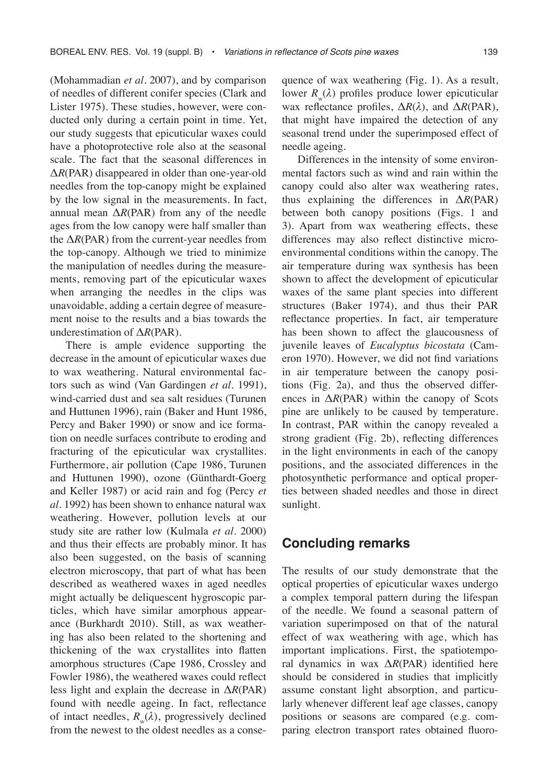(Mohammadian *et al.* 2007), and by comparison of needles of different conifer species (Clark and Lister 1975). These studies, however, were conducted only during a certain point in time. Yet, our study suggests that epicuticular waxes could have a photoprotective role also at the seasonal scale. The fact that the seasonal differences in Δ*R*(PAR) disappeared in older than one-year-old needles from the top-canopy might be explained by the low signal in the measurements. In fact, annual mean  $\Delta R$ (PAR) from any of the needle ages from the low canopy were half smaller than the  $\Delta R$ (PAR) from the current-year needles from the top-canopy. Although we tried to minimize the manipulation of needles during the measurements, removing part of the epicuticular waxes when arranging the needles in the clips was unavoidable, adding a certain degree of measurement noise to the results and a bias towards the underestimation of Δ*R*(PAR).

There is ample evidence supporting the decrease in the amount of epicuticular waxes due to wax weathering. Natural environmental factors such as wind (Van Gardingen *et al.* 1991), wind-carried dust and sea salt residues (Turunen and Huttunen 1996), rain (Baker and Hunt 1986, Percy and Baker 1990) or snow and ice formation on needle surfaces contribute to eroding and fracturing of the epicuticular wax crystallites. Furthermore, air pollution (Cape 1986, Turunen and Huttunen 1990), ozone (Günthardt-Goerg and Keller 1987) or acid rain and fog (Percy *et al.* 1992) has been shown to enhance natural wax weathering. However, pollution levels at our study site are rather low (Kulmala *et al.* 2000) and thus their effects are probably minor. It has also been suggested, on the basis of scanning electron microscopy, that part of what has been described as weathered waxes in aged needles might actually be deliquescent hygroscopic particles, which have similar amorphous appearance (Burkhardt 2010). Still, as wax weathering has also been related to the shortening and thickening of the wax crystallites into flatten amorphous structures (Cape 1986, Crossley and Fowler 1986), the weathered waxes could reflect less light and explain the decrease in Δ*R*(PAR) found with needle ageing. In fact, reflectance of intact needles,  $R(\lambda)$ , progressively declined from the newest to the oldest needles as a consequence of wax weathering (Fig. 1). As a result, lower  $R_w(\lambda)$  profiles produce lower epicuticular wax reflectance profiles, Δ*R*(*λ*), and Δ*R*(PAR), that might have impaired the detection of any seasonal trend under the superimposed effect of needle ageing.

Differences in the intensity of some environmental factors such as wind and rain within the canopy could also alter wax weathering rates, thus explaining the differences in Δ*R*(PAR) between both canopy positions (Figs. 1 and 3). Apart from wax weathering effects, these differences may also reflect distinctive microenvironmental conditions within the canopy. The air temperature during wax synthesis has been shown to affect the development of epicuticular waxes of the same plant species into different structures (Baker 1974), and thus their PAR reflectance properties. In fact, air temperature has been shown to affect the glaucousness of juvenile leaves of *Eucalyptus bicostata* (Cameron 1970). However, we did not find variations in air temperature between the canopy positions (Fig. 2a), and thus the observed differences in Δ*R*(PAR) within the canopy of Scots pine are unlikely to be caused by temperature. In contrast, PAR within the canopy revealed a strong gradient (Fig. 2b), reflecting differences in the light environments in each of the canopy positions, and the associated differences in the photosynthetic performance and optical properties between shaded needles and those in direct sunlight.

### **Concluding remarks**

The results of our study demonstrate that the optical properties of epicuticular waxes undergo a complex temporal pattern during the lifespan of the needle. We found a seasonal pattern of variation superimposed on that of the natural effect of wax weathering with age, which has important implications. First, the spatiotemporal dynamics in wax Δ*R*(PAR) identified here should be considered in studies that implicitly assume constant light absorption, and particularly whenever different leaf age classes, canopy positions or seasons are compared (e.g. comparing electron transport rates obtained fluoro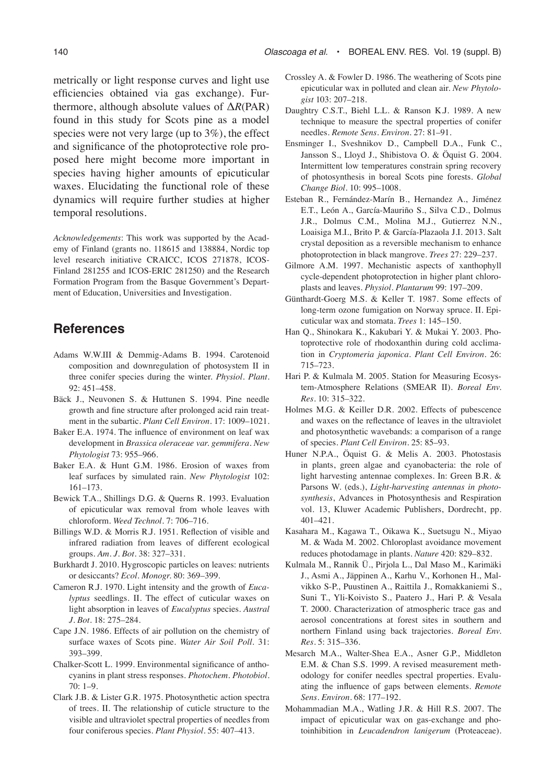metrically or light response curves and light use efficiencies obtained via gas exchange). Furthermore, although absolute values of Δ*R*(PAR) found in this study for Scots pine as a model species were not very large (up to 3%), the effect and significance of the photoprotective role proposed here might become more important in species having higher amounts of epicuticular waxes. Elucidating the functional role of these dynamics will require further studies at higher temporal resolutions.

*Acknowledgements*: This work was supported by the Academy of Finland (grants no. 118615 and 138884, Nordic top level research initiative CRAICC, ICOS 271878, ICOS-Finland 281255 and ICOS-ERIC 281250) and the Research Formation Program from the Basque Government's Department of Education, Universities and Investigation.

## **References**

- Adams W.W.III & Demmig-Adams B. 1994. Carotenoid composition and downregulation of photosystem II in three conifer species during the winter. *Physiol. Plant.* 92: 451–458.
- Bäck J., Neuvonen S. & Huttunen S. 1994. Pine needle growth and fine structure after prolonged acid rain treatment in the subartic. *Plant Cell Environ*. 17: 1009–1021.
- Baker E.A. 1974. The influence of environment on leaf wax development in *Brassica oleraceae var. gemmifera. New Phytologist* 73: 955–966.
- Baker E.A. & Hunt G.M. 1986. Erosion of waxes from leaf surfaces by simulated rain. *New Phytologist* 102: 161–173.
- Bewick T.A., Shillings D.G. & Querns R. 1993. Evaluation of epicuticular wax removal from whole leaves with chloroform. *Weed Technol.* 7: 706–716.
- Billings W.D. & Morris R.J. 1951. Reflection of visible and infrared radiation from leaves of different ecological groups. *Am. J. Bot.* 38: 327–331.
- Burkhardt J. 2010. Hygroscopic particles on leaves: nutrients or desiccants? *Ecol. Monogr.* 80: 369–399.
- Cameron R.J. 1970. Light intensity and the growth of *Eucalyptus* seedlings. II. The effect of cuticular waxes on light absorption in leaves of *Eucalyptus* species. *Austral J. Bot.* 18: 275–284.
- Cape J.N. 1986. Effects of air pollution on the chemistry of surface waxes of Scots pine. *Water Air Soil Poll.* 31: 393–399.
- Chalker-Scott L. 1999. Environmental significance of anthocyanins in plant stress responses. *Photochem. Photobiol.*  70: 1–9.
- Clark J.B. & Lister G.R. 1975. Photosynthetic action spectra of trees. II. The relationship of cuticle structure to the visible and ultraviolet spectral properties of needles from four coniferous species. *Plant Physiol*. 55: 407–413.
- Crossley A. & Fowler D. 1986. The weathering of Scots pine epicuticular wax in polluted and clean air. *New Phytologist* 103: 207–218.
- Daughtry C.S.T., Biehl L.L. & Ranson K.J. 1989. A new technique to measure the spectral properties of conifer needles. *Remote Sens. Environ.* 27: 81–91.
- Ensminger I., Sveshnikov D., Campbell D.A., Funk C., Jansson S., Lloyd J., Shibistova O. & Öquist G. 2004. Intermittent low temperatures constrain spring recovery of photosynthesis in boreal Scots pine forests. *Global Change Biol.* 10: 995–1008.
- Esteban R., Fernández-Marín B., Hernandez A., Jiménez E.T., León A., García-Mauriño S., Silva C.D., Dolmus J.R., Dolmus C.M., Molina M.J., Gutierrez N.N., Loaisiga M.I., Brito P. & García-Plazaola J.I. 2013. Salt crystal deposition as a reversible mechanism to enhance photoprotection in black mangrove. *Trees* 27: 229–237.
- Gilmore A.M. 1997. Mechanistic aspects of xanthophyll cycle-dependent photoprotection in higher plant chloroplasts and leaves. *Physiol. Plantarum* 99: 197–209.
- Günthardt-Goerg M.S. & Keller T. 1987. Some effects of long-term ozone fumigation on Norway spruce. II. Epicuticular wax and stomata. *Trees* 1: 145–150.
- Han Q., Shinokara K., Kakubari Y. & Mukai Y. 2003. Photoprotective role of rhodoxanthin during cold acclimation in *Cryptomeria japonica. Plant Cell Environ.* 26: 715–723.
- Hari P. & Kulmala M. 2005. Station for Measuring Ecosystem-Atmosphere Relations (SMEAR II). *Boreal Env. Res.* 10: 315–322.
- Holmes M.G. & Keiller D.R. 2002. Effects of pubescence and waxes on the reflectance of leaves in the ultraviolet and photosynthetic wavebands: a comparison of a range of species. *Plant Cell Environ.* 25: 85–93.
- Huner N.P.A., Öquist G. & Melis A. 2003. Photostasis in plants, green algae and cyanobacteria: the role of light harvesting antennae complexes. In: Green B.R. & Parsons W. (eds*.*), *Light-harvesting antennas in photosynthesis*, Advances in Photosynthesis and Respiration vol. 13, Kluwer Academic Publishers, Dordrecht, pp. 401–421.
- Kasahara M., Kagawa T., Oikawa K., Suetsugu N., Miyao M. & Wada M. 2002. Chloroplast avoidance movement reduces photodamage in plants. *Nature* 420: 829–832.
- Kulmala M., Rannik Ü., Pirjola L., Dal Maso M., Karimäki J., Asmi A., Jäppinen A., Karhu V., Korhonen H., Malvikko S-P., Puustinen A., Raittila J., Romakkaniemi S., Suni T., Yli-Koivisto S., Paatero J., Hari P. & Vesala T. 2000. Characterization of atmospheric trace gas and aerosol concentrations at forest sites in southern and northern Finland using back trajectories. *Boreal Env. Res.* 5: 315–336.
- Mesarch M.A., Walter-Shea E.A., Asner G.P., Middleton E.M. & Chan S.S. 1999. A revised measurement methodology for conifer needles spectral properties. Evaluating the influence of gaps between elements. *Remote Sens. Environ.* 68: 177–192.
- Mohammadian M.A., Watling J.R. & Hill R.S. 2007. The impact of epicuticular wax on gas-exchange and photoinhibition in *Leucadendron lanigerum* (Proteaceae).